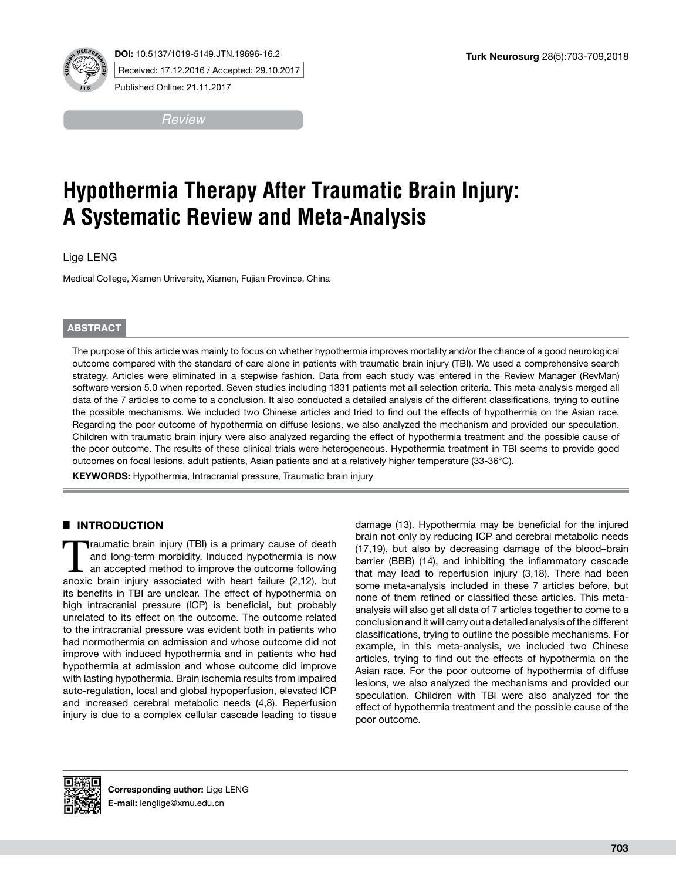**DOI:** 10.5137/1019-5149.JTN.19696-16.2



Received: 17.12.2016 / Accepted: 29.10.2017

Published Online: 21.11.2017

*Review*

# **Hypothermia Therapy After Traumatic Brain Injury: A Systematic Review and Meta-Analysis**

Lige LENG

Medical College, Xiamen University, Xiamen, Fujian Province, China

## **ABSTRACT**

The purpose of this article was mainly to focus on whether hypothermia improves mortality and/or the chance of a good neurological outcome compared with the standard of care alone in patients with traumatic brain injury (TBI). We used a comprehensive search strategy. Articles were eliminated in a stepwise fashion. Data from each study was entered in the Review Manager (RevMan) software version 5.0 when reported. Seven studies including 1331 patients met all selection criteria. This meta-analysis merged all data of the 7 articles to come to a conclusion. It also conducted a detailed analysis of the different classifications, trying to outline the possible mechanisms. We included two Chinese articles and tried to find out the effects of hypothermia on the Asian race. Regarding the poor outcome of hypothermia on diffuse lesions, we also analyzed the mechanism and provided our speculation. Children with traumatic brain injury were also analyzed regarding the effect of hypothermia treatment and the possible cause of the poor outcome. The results of these clinical trials were heterogeneous. Hypothermia treatment in TBI seems to provide good outcomes on focal lesions, adult patients, Asian patients and at a relatively higher temperature (33-36°C).

**KEYWORDS:** Hypothermia, Intracranial pressure, Traumatic brain injury

# █ **INTRODUCTION**

Traumatic brain injury (TBI) is a primary cause of death and long-term morbidity. Induced hypothermia is now an accepted method to improve the outcome following and long-term morbidity. Induced hypothermia is now anoxic brain injury associated with heart failure (2,12), but its benefits in TBI are unclear. The effect of hypothermia on high intracranial pressure (ICP) is beneficial, but probably unrelated to its effect on the outcome. The outcome related to the intracranial pressure was evident both in patients who had normothermia on admission and whose outcome did not improve with induced hypothermia and in patients who had hypothermia at admission and whose outcome did improve with lasting hypothermia. Brain ischemia results from impaired auto-regulation, local and global hypoperfusion, elevated ICP and increased cerebral metabolic needs (4,8). Reperfusion injury is due to a complex cellular cascade leading to tissue

damage (13). Hypothermia may be beneficial for the injured brain not only by reducing ICP and cerebral metabolic needs (17,19), but also by decreasing damage of the blood–brain barrier (BBB) (14), and inhibiting the inflammatory cascade that may lead to reperfusion injury (3,18). There had been some meta-analysis included in these 7 articles before, but none of them refined or classified these articles. This metaanalysis will also get all data of 7 articles together to come to a conclusion and it will carry out a detailed analysis of the different classifications, trying to outline the possible mechanisms. For example, in this meta-analysis, we included two Chinese articles, trying to find out the effects of hypothermia on the Asian race. For the poor outcome of hypothermia of diffuse lesions, we also analyzed the mechanisms and provided our speculation. Children with TBI were also analyzed for the effect of hypothermia treatment and the possible cause of the poor outcome.

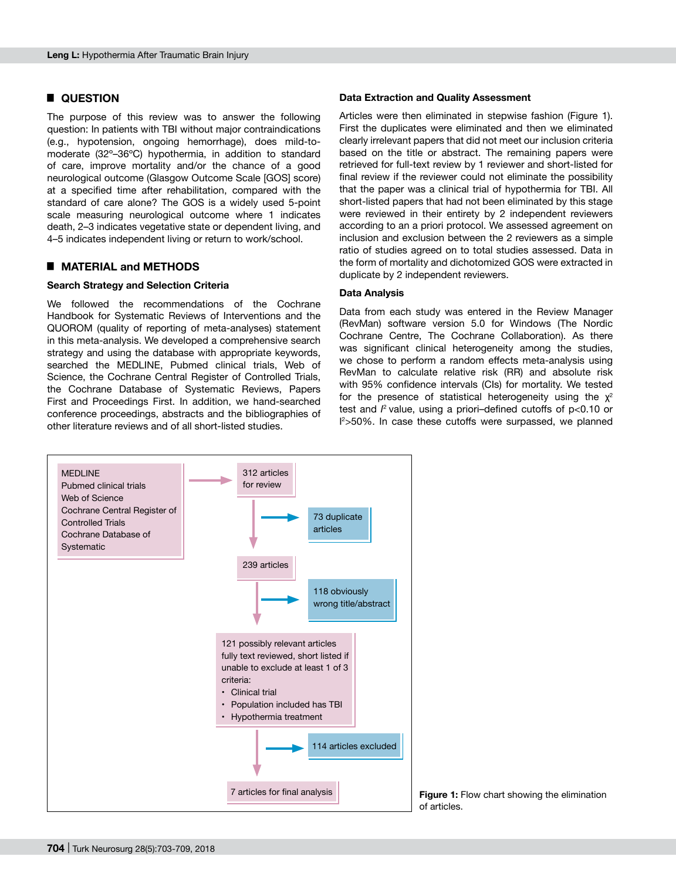#### █ **QUESTION**

The purpose of this review was to answer the following question: In patients with TBI without major contraindications (e.g., hypotension, ongoing hemorrhage), does mild-tomoderate (32º–36ºC) hypothermia, in addition to standard of care, improve mortality and/or the chance of a good neurological outcome (Glasgow Outcome Scale [GOS] score) at a specified time after rehabilitation, compared with the standard of care alone? The GOS is a widely used 5-point scale measuring neurological outcome where 1 indicates death, 2–3 indicates vegetative state or dependent living, and 4–5 indicates independent living or return to work/school.

#### █ **MATERIAL and METHODS**

#### **Search Strategy and Selection Criteria**

We followed the recommendations of the Cochrane Handbook for Systematic Reviews of Interventions and the QUOROM (quality of reporting of meta-analyses) statement in this meta-analysis. We developed a comprehensive search strategy and using the database with appropriate keywords, searched the MEDLINE, Pubmed clinical trials, Web of Science, the Cochrane Central Register of Controlled Trials, the Cochrane Database of Systematic Reviews, Papers First and Proceedings First. In addition, we hand-searched conference proceedings, abstracts and the bibliographies of other literature reviews and of all short-listed studies.

#### **Data Extraction and Quality Assessment**

Articles were then eliminated in stepwise fashion (Figure 1). First the duplicates were eliminated and then we eliminated clearly irrelevant papers that did not meet our inclusion criteria based on the title or abstract. The remaining papers were retrieved for full-text review by 1 reviewer and short-listed for final review if the reviewer could not eliminate the possibility that the paper was a clinical trial of hypothermia for TBI. All short-listed papers that had not been eliminated by this stage were reviewed in their entirety by 2 independent reviewers according to an a priori protocol. We assessed agreement on inclusion and exclusion between the 2 reviewers as a simple ratio of studies agreed on to total studies assessed. Data in the form of mortality and dichotomized GOS were extracted in duplicate by 2 independent reviewers.

#### **Data Analysis**

Data from each study was entered in the Review Manager (RevMan) software version 5.0 for Windows (The Nordic Cochrane Centre, The Cochrane Collaboration). As there was significant clinical heterogeneity among the studies, we chose to perform a random effects meta-analysis using RevMan to calculate relative risk (RR) and absolute risk with 95% confidence intervals (CIs) for mortality. We tested for the presence of statistical heterogeneity using the  $\chi^2$ test and  $l^2$  value, using a priori–defined cutoffs of p<0.10 or I 2 >50%. In case these cutoffs were surpassed, we planned



**Figure 1:** Flow chart showing the elimination of articles.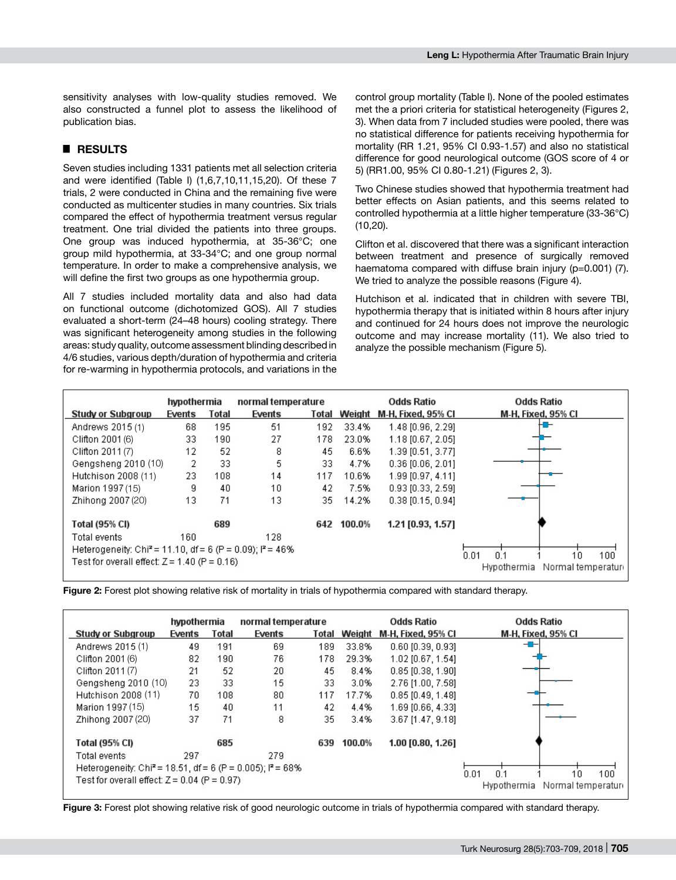sensitivity analyses with low-quality studies removed. We also constructed a funnel plot to assess the likelihood of publication bias.

# █ **RESULTS**

Seven studies including 1331 patients met all selection criteria and were identified (Table I) (1,6,7,10,11,15,20). Of these 7 trials, 2 were conducted in China and the remaining five were conducted as multicenter studies in many countries. Six trials compared the effect of hypothermia treatment versus regular treatment. One trial divided the patients into three groups. One group was induced hypothermia, at 35-36°C; one group mild hypothermia, at 33-34°C; and one group normal temperature. In order to make a comprehensive analysis, we will define the first two groups as one hypothermia group.

All 7 studies included mortality data and also had data on functional outcome (dichotomized GOS). All 7 studies evaluated a short-term (24–48 hours) cooling strategy. There was significant heterogeneity among studies in the following areas: study quality, outcome assessment blinding described in 4/6 studies, various depth/duration of hypothermia and criteria for re-warming in hypothermia protocols, and variations in the control group mortality (Table I). None of the pooled estimates met the a priori criteria for statistical heterogeneity (Figures 2, 3). When data from 7 included studies were pooled, there was no statistical difference for patients receiving hypothermia for mortality (RR 1.21, 95% CI 0.93-1.57) and also no statistical difference for good neurological outcome (GOS score of 4 or 5) (RR1.00, 95% CI 0.80-1.21) (Figures 2, 3).

Two Chinese studies showed that hypothermia treatment had better effects on Asian patients, and this seems related to controlled hypothermia at a little higher temperature (33-36°C) (10,20).

Clifton et al. discovered that there was a significant interaction between treatment and presence of surgically removed haematoma compared with diffuse brain injury (p=0.001) (7). We tried to analyze the possible reasons (Figure 4).

Hutchison et al. indicated that in children with severe TBI, hypothermia therapy that is initiated within 8 hours after injury and continued for 24 hours does not improve the neurologic outcome and may increase mortality (11). We also tried to analyze the possible mechanism (Figure 5).

|                                                                                                           | hypothermia |       | normal temperature |       | Odds Ratio |                     | Odds Ratio         |
|-----------------------------------------------------------------------------------------------------------|-------------|-------|--------------------|-------|------------|---------------------|--------------------|
| Study or Subgroup                                                                                         | Events      | Total | Events             | Total | Weight     | M-H, Fixed, 95% CI  | M-H, Fixed, 95% Cl |
| Andrews 2015 (1)                                                                                          | 68          | 195   | 51                 | 192   | 33.4%      | 1.48 [0.96, 2.29]   | ╄╦┷                |
| Clifton 2001 (6)                                                                                          | 33.         | 190   | 27                 | 178   | 23.0%      | 1.18 [0.67, 2.05]   |                    |
| Clifton 2011 (7)                                                                                          | 12          | 52    | 8                  | 45    | 6.6%       | 1.39 [0.51, 3.77]   |                    |
| Gengsheng 2010 (10)                                                                                       | 2           | 33    | 5                  | 33.   | 4.7%       | $0.36$ [0.06, 2.01] |                    |
| Hutchison 2008 (11)                                                                                       | 23.         | 108   | 14                 | 117   | 10.6%      | 1.99 [0.97, 4.11]   |                    |
| Marion 1997 (15)                                                                                          | g           | 40    | 10                 | 42    | 7.5%       | $0.93$ [0.33, 2.59] |                    |
| Zhihona 2007 (20)                                                                                         | 13          | 71    | 13                 | 35.   | 14.2%      | $0.38$ [0.15, 0.94] |                    |
| Total (95% CI)                                                                                            |             | 689   |                    | 642   | 100.0%     | 1.21 [0.93, 1.57]   |                    |
| Total events                                                                                              | 160         |       | 128.               |       |            |                     |                    |
| Heterogeneity: Chi <sup>2</sup> = 11.10, df = 6 (P = 0.09); $P = 46\%$<br>100<br>0.01<br>$10^{-1}$<br>n 1 |             |       |                    |       |            |                     |                    |
| Test for overall effect: $Z = 1.40$ (P = 0.16)<br>Normal temperatur<br>Hypothermia                        |             |       |                    |       |            |                     |                    |

**Figure 2:** Forest plot showing relative risk of mortality in trials of hypothermia compared with standard therapy.



**Figure 3:** Forest plot showing relative risk of good neurologic outcome in trials of hypothermia compared with standard therapy.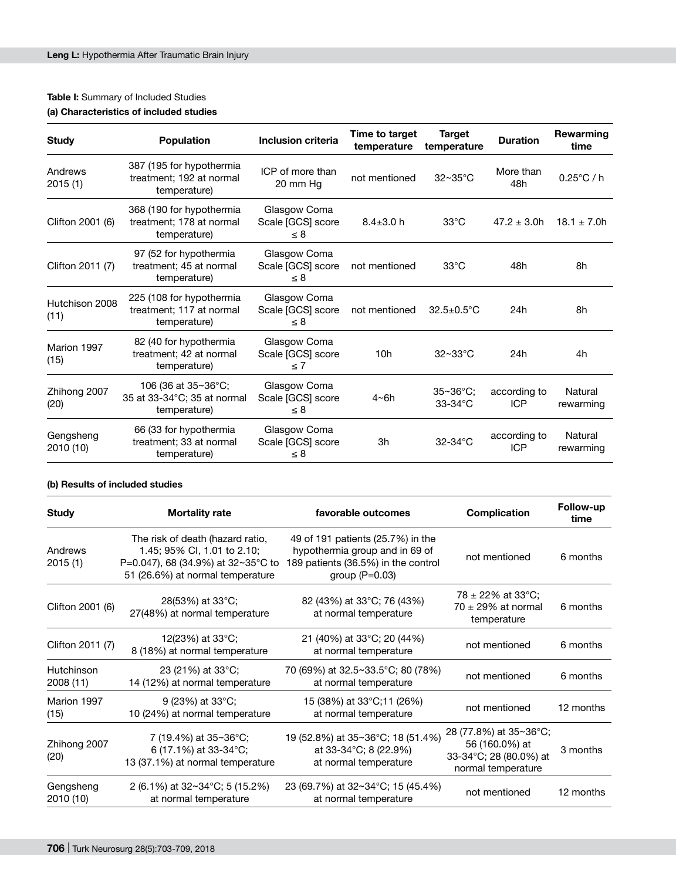# **Table I:** Summary of Included Studies

# **(a) Characteristics of included studies**

| <b>Study</b>           | <b>Population</b>                                                    | Inclusion criteria                            | Time to target<br>temperature | <b>Target</b><br>temperature | <b>Duration</b>            | Rewarming<br>time    |
|------------------------|----------------------------------------------------------------------|-----------------------------------------------|-------------------------------|------------------------------|----------------------------|----------------------|
| Andrews<br>2015(1)     | 387 (195 for hypothermia<br>treatment; 192 at normal<br>temperature) | ICP of more than<br>20 mm Hg                  | not mentioned                 | $32 \sim 35$ °C              | More than<br>48h           | $0.25^{\circ}$ C / h |
| Clifton 2001 (6)       | 368 (190 for hypothermia<br>treatment; 178 at normal<br>temperature) | Glasgow Coma<br>Scale [GCS] score<br>$\leq 8$ | $8.4 \pm 3.0$ h               | $33^{\circ}$ C               | $47.2 \pm 3.0h$            | $18.1 \pm 7.0h$      |
| Clifton 2011 (7)       | 97 (52 for hypothermia<br>treatment; 45 at normal<br>temperature)    | Glasgow Coma<br>Scale [GCS] score<br>$\leq 8$ | not mentioned                 | $33^{\circ}$ C               | 48h                        | 8h                   |
| Hutchison 2008<br>(11) | 225 (108 for hypothermia<br>treatment: 117 at normal<br>temperature) | Glasgow Coma<br>Scale [GCS] score<br>$\leq 8$ | not mentioned                 | $32.5 \pm 0.5^{\circ}$ C     | 24h                        | 8h                   |
| Marion 1997<br>(15)    | 82 (40 for hypothermia<br>treatment; 42 at normal<br>temperature)    | Glasgow Coma<br>Scale [GCS] score<br>$\leq 7$ | 10 <sub>h</sub>               | $32 \sim 33$ °C              | 24h                        | 4h                   |
| Zhihong 2007<br>(20)   | 106 (36 at 35~36°C;<br>35 at 33-34°C; 35 at normal<br>temperature)   | Glasgow Coma<br>Scale [GCS] score<br>$\leq 8$ | 4~6h                          | $35 - 36$ °C:<br>$33-34$ °C  | according to<br><b>ICP</b> | Natural<br>rewarming |
| Gengsheng<br>2010 (10) | 66 (33 for hypothermia<br>treatment: 33 at normal<br>temperature)    | Glasgow Coma<br>Scale [GCS] score<br>$\leq 8$ | 3h                            | $32-34$ °C                   | according to<br><b>ICP</b> | Natural<br>rewarming |

## **(b) Results of included studies**

| <b>Study</b>            | <b>Mortality rate</b>                                                                                                                                    | favorable outcomes                                                                                                             | Complication                                                                             | Follow-up<br>time |
|-------------------------|----------------------------------------------------------------------------------------------------------------------------------------------------------|--------------------------------------------------------------------------------------------------------------------------------|------------------------------------------------------------------------------------------|-------------------|
| Andrews<br>2015 (1)     | The risk of death (hazard ratio,<br>1.45; 95% CI, 1.01 to 2.10;<br>P=0.047), 68 (34.9%) at $32 \sim 35^{\circ}$ C to<br>51 (26.6%) at normal temperature | 49 of 191 patients (25.7%) in the<br>hypothermia group and in 69 of<br>189 patients (36.5%) in the control<br>group $(P=0.03)$ | not mentioned                                                                            | 6 months          |
| Clifton 2001 (6)        | 28(53%) at 33°C;<br>27(48%) at normal temperature                                                                                                        | 82 (43%) at 33°C; 76 (43%)<br>at normal temperature                                                                            | 78 $\pm$ 22% at 33°C;<br>$70 \pm 29\%$ at normal<br>temperature                          | 6 months          |
| Clifton 2011 (7)        | 12(23%) at $33^{\circ}$ C;<br>8 (18%) at normal temperature                                                                                              | 21 (40%) at 33°C; 20 (44%)<br>at normal temperature                                                                            | not mentioned                                                                            | 6 months          |
| Hutchinson<br>2008 (11) | 23 (21%) at 33°C;<br>14 (12%) at normal temperature                                                                                                      | 70 (69%) at 32.5~33.5°C; 80 (78%)<br>at normal temperature                                                                     | not mentioned                                                                            | 6 months          |
| Marion 1997<br>(15)     | 9 (23%) at 33°C;<br>10 (24%) at normal temperature                                                                                                       | 15 (38%) at 33°C;11 (26%)<br>at normal temperature                                                                             | not mentioned                                                                            | 12 months         |
| Zhihong 2007<br>(20)    | 7 (19.4%) at 35~36°C;<br>6 (17.1%) at 33-34°C;<br>13 (37.1%) at normal temperature                                                                       | 19 (52.8%) at 35~36°C; 18 (51.4%)<br>at 33-34°C; 8 (22.9%)<br>at normal temperature                                            | 28 (77.8%) at 35~36°C;<br>56 (160.0%) at<br>33-34°C; 28 (80.0%) at<br>normal temperature | 3 months          |
| Gengsheng<br>2010 (10)  | 2 (6.1%) at $32 \times 34^{\circ}$ C; 5 (15.2%)<br>at normal temperature                                                                                 | 23 (69.7%) at 32~34 °C; 15 (45.4%)<br>at normal temperature                                                                    | not mentioned                                                                            | 12 months         |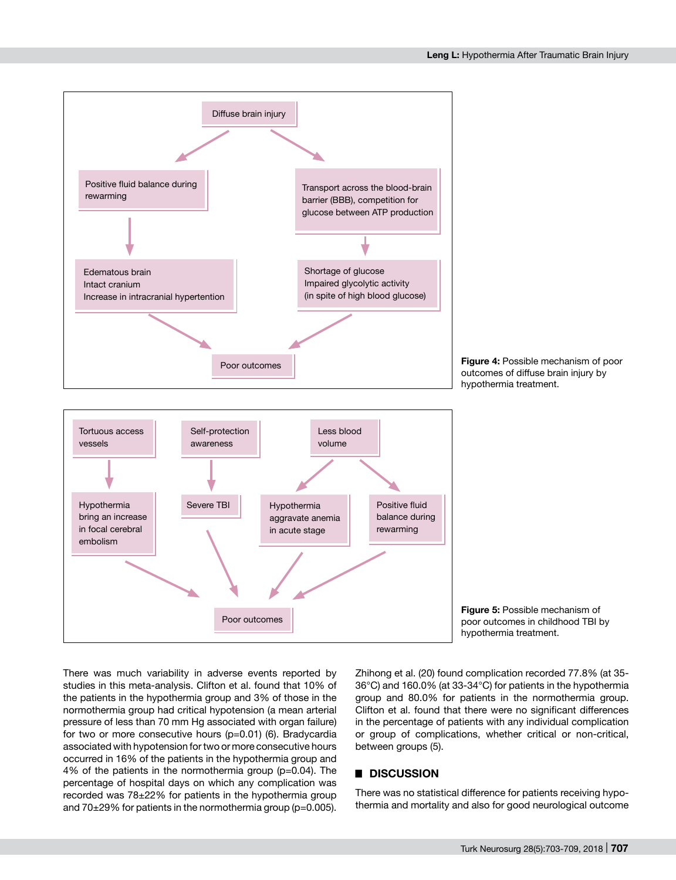

There was much variability in adverse events reported by studies in this meta-analysis. Clifton et al. found that 10% of the patients in the hypothermia group and 3% of those in the normothermia group had critical hypotension (a mean arterial pressure of less than 70 mm Hg associated with organ failure) for two or more consecutive hours (p=0.01) (6). Bradycardia associated with hypotension for two or more consecutive hours occurred in 16% of the patients in the hypothermia group and 4% of the patients in the normothermia group (p=0.04). The percentage of hospital days on which any complication was recorded was 78±22% for patients in the hypothermia group and 70±29% for patients in the normothermia group (p=0.005).

Zhihong et al. (20) found complication recorded 77.8% (at 35- 36°C) and 160.0% (at 33-34°C) for patients in the hypothermia group and 80.0% for patients in the normothermia group. Clifton et al. found that there were no significant differences in the percentage of patients with any individual complication or group of complications, whether critical or non-critical, between groups (5).

# █ **DISCUSSION**

There was no statistical difference for patients receiving hypothermia and mortality and also for good neurological outcome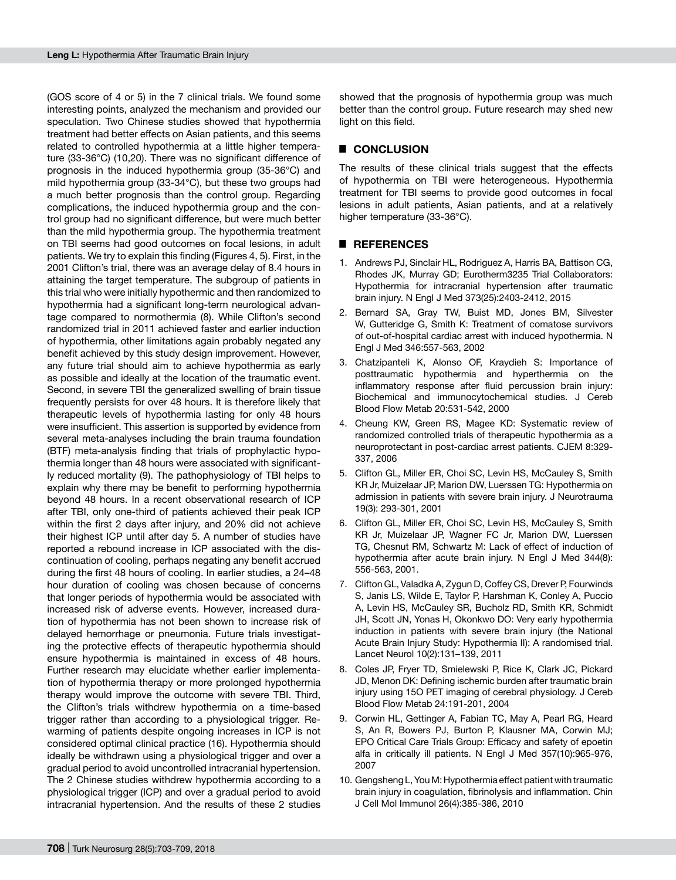(GOS score of 4 or 5) in the 7 clinical trials. We found some interesting points, analyzed the mechanism and provided our speculation. Two Chinese studies showed that hypothermia treatment had better effects on Asian patients, and this seems related to controlled hypothermia at a little higher temperature (33-36°C) (10,20). There was no significant difference of prognosis in the induced hypothermia group (35-36°C) and mild hypothermia group (33-34°C), but these two groups had a much better prognosis than the control group. Regarding complications, the induced hypothermia group and the control group had no significant difference, but were much better than the mild hypothermia group. The hypothermia treatment on TBI seems had good outcomes on focal lesions, in adult patients. We try to explain this finding (Figures 4, 5). First, in the 2001 Clifton's trial, there was an average delay of 8.4 hours in attaining the target temperature. The subgroup of patients in this trial who were initially hypothermic and then randomized to hypothermia had a significant long-term neurological advantage compared to normothermia (8). While Clifton's second randomized trial in 2011 achieved faster and earlier induction of hypothermia, other limitations again probably negated any benefit achieved by this study design improvement. However, any future trial should aim to achieve hypothermia as early as possible and ideally at the location of the traumatic event. Second, in severe TBI the generalized swelling of brain tissue frequently persists for over 48 hours. It is therefore likely that therapeutic levels of hypothermia lasting for only 48 hours were insufficient. This assertion is supported by evidence from several meta-analyses including the brain trauma foundation (BTF) meta-analysis finding that trials of prophylactic hypothermia longer than 48 hours were associated with significantly reduced mortality (9). The pathophysiology of TBI helps to explain why there may be benefit to performing hypothermia beyond 48 hours. In a recent observational research of ICP after TBI, only one-third of patients achieved their peak ICP within the first 2 days after injury, and 20% did not achieve their highest ICP until after day 5. A number of studies have reported a rebound increase in ICP associated with the discontinuation of cooling, perhaps negating any benefit accrued during the first 48 hours of cooling. In earlier studies, a 24–48 hour duration of cooling was chosen because of concerns that longer periods of hypothermia would be associated with increased risk of adverse events. However, increased duration of hypothermia has not been shown to increase risk of delayed hemorrhage or pneumonia. Future trials investigating the protective effects of therapeutic hypothermia should ensure hypothermia is maintained in excess of 48 hours. Further research may elucidate whether earlier implementation of hypothermia therapy or more prolonged hypothermia therapy would improve the outcome with severe TBI. Third, the Clifton's trials withdrew hypothermia on a time-based trigger rather than according to a physiological trigger. Rewarming of patients despite ongoing increases in ICP is not considered optimal clinical practice (16). Hypothermia should ideally be withdrawn using a physiological trigger and over a gradual period to avoid uncontrolled intracranial hypertension. The 2 Chinese studies withdrew hypothermia according to a physiological trigger (ICP) and over a gradual period to avoid intracranial hypertension. And the results of these 2 studies showed that the prognosis of hypothermia group was much better than the control group. Future research may shed new light on this field.

# █ **CONCLUSION**

The results of these clinical trials suggest that the effects of hypothermia on TBI were heterogeneous. Hypothermia treatment for TBI seems to provide good outcomes in focal lesions in adult patients, Asian patients, and at a relatively higher temperature (33-36°C).

#### █ **REFERENCES**

- 1. Andrews PJ, Sinclair HL, Rodriguez A, Harris BA, Battison CG, Rhodes JK, Murray GD; Eurotherm3235 Trial Collaborators: Hypothermia for intracranial hypertension after traumatic brain injury. N Engl J Med 373(25):2403-2412, 2015
- 2. Bernard SA, Gray TW, Buist MD, Jones BM, Silvester W, Gutteridge G, Smith K: Treatment of comatose survivors of out-of-hospital cardiac arrest with induced hypothermia. N Engl J Med 346:557-563, 2002
- 3. Chatzipanteli K, Alonso OF, Kraydieh S: Importance of posttraumatic hypothermia and hyperthermia on the inflammatory response after fluid percussion brain injury: Biochemical and immunocytochemical studies. J Cereb Blood Flow Metab 20:531-542, 2000
- 4. Cheung KW, Green RS, Magee KD: Systematic review of randomized controlled trials of therapeutic hypothermia as a neuroprotectant in post-cardiac arrest patients. CJEM 8:329- 337, 2006
- 5. Clifton GL, Miller ER, Choi SC, Levin HS, McCauley S, Smith KR Jr, Muizelaar JP, Marion DW, Luerssen TG: Hypothermia on admission in patients with severe brain injury. J Neurotrauma 19(3): 293-301, 2001
- 6. Clifton GL, Miller ER, Choi SC, Levin HS, McCauley S, Smith KR Jr, Muizelaar JP, Wagner FC Jr, Marion DW, Luerssen TG, Chesnut RM, Schwartz M: Lack of effect of induction of hypothermia after acute brain injury. N Engl J Med 344(8): 556-563, 2001.
- 7. Clifton GL, Valadka A, Zygun D, Coffey CS, Drever P, Fourwinds S, Janis LS, Wilde E, Taylor P, Harshman K, Conley A, Puccio A, Levin HS, McCauley SR, Bucholz RD, Smith KR, Schmidt JH, Scott JN, Yonas H, Okonkwo DO: Very early hypothermia induction in patients with severe brain injury (the National Acute Brain Injury Study: Hypothermia II): A randomised trial. Lancet Neurol 10(2):131–139, 2011
- 8. Coles JP, Fryer TD, Smielewski P, Rice K, Clark JC, Pickard JD, Menon DK: Defining ischemic burden after traumatic brain injury using 15O PET imaging of cerebral physiology. J Cereb Blood Flow Metab 24:191-201, 2004
- 9. Corwin HL, Gettinger A, Fabian TC, May A, Pearl RG, Heard S, An R, Bowers PJ, Burton P, Klausner MA, Corwin MJ; EPO Critical Care Trials Group: Efficacy and safety of epoetin alfa in critically ill patients. N Engl J Med 357(10):965-976, 2007
- 10. Gengsheng L, You M: Hypothermia effect patient with traumatic brain injury in coagulation, fibrinolysis and inflammation. Chin J Cell Mol Immunol 26(4):385-386, 2010